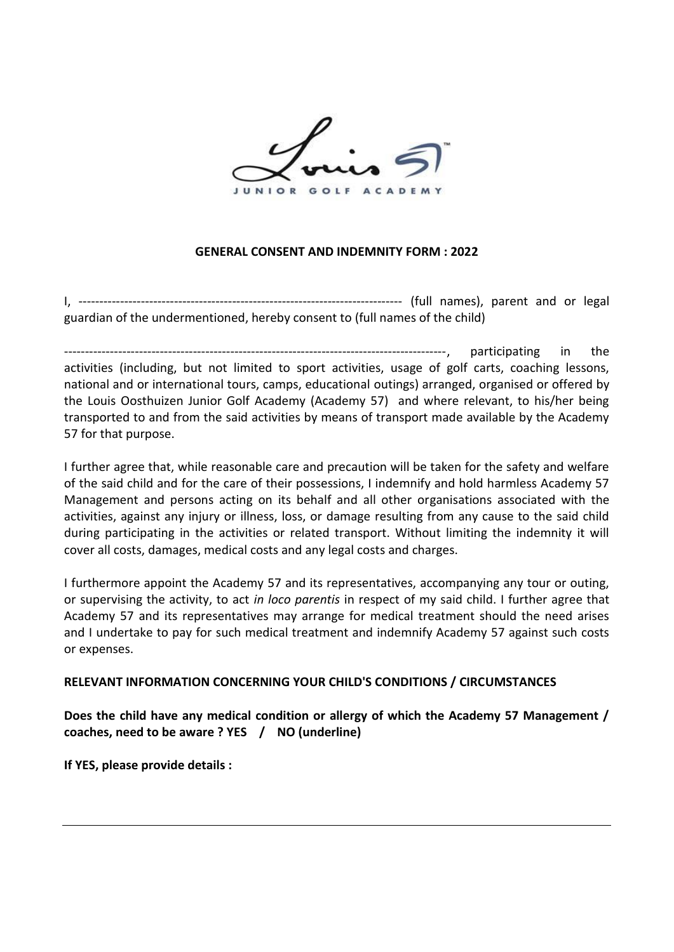

## **GENERAL CONSENT AND INDEMNITY FORM : 2022**

I, ------------------------------------------------------------------------------ (full names), parent and or legal guardian of the undermentioned, hereby consent to (full names of the child)

--------------------------------------------------------------------------------------------, participating in the activities (including, but not limited to sport activities, usage of golf carts, coaching lessons, national and or international tours, camps, educational outings) arranged, organised or offered by the Louis Oosthuizen Junior Golf Academy (Academy 57) and where relevant, to his/her being transported to and from the said activities by means of transport made available by the Academy 57 for that purpose.

I further agree that, while reasonable care and precaution will be taken for the safety and welfare of the said child and for the care of their possessions, I indemnify and hold harmless Academy 57 Management and persons acting on its behalf and all other organisations associated with the activities, against any injury or illness, loss, or damage resulting from any cause to the said child during participating in the activities or related transport. Without limiting the indemnity it will cover all costs, damages, medical costs and any legal costs and charges.

I furthermore appoint the Academy 57 and its representatives, accompanying any tour or outing, or supervising the activity, to act *in loco parentis* in respect of my said child. I further agree that Academy 57 and its representatives may arrange for medical treatment should the need arises and I undertake to pay for such medical treatment and indemnify Academy 57 against such costs or expenses.

## **RELEVANT INFORMATION CONCERNING YOUR CHILD'S CONDITIONS / CIRCUMSTANCES**

**Does the child have any medical condition or allergy of which the Academy 57 Management / coaches, need to be aware ? YES / NO (underline)**

**If YES, please provide details :**